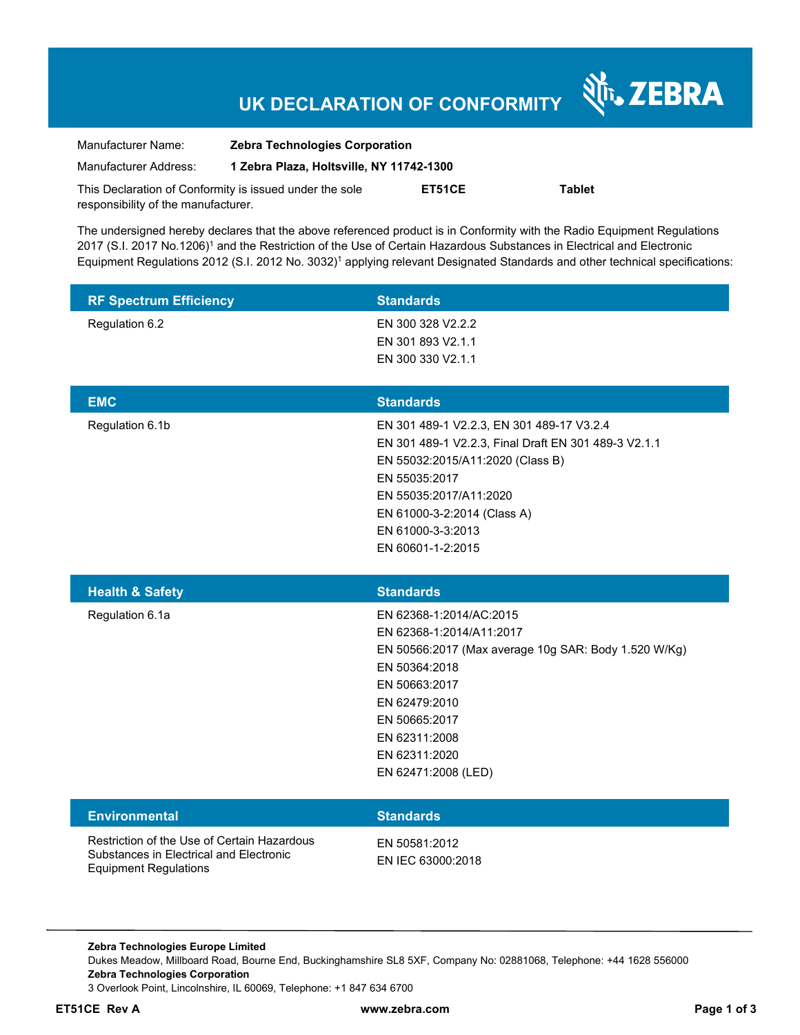# **UK DECLARATION OF CONFORMITY**

Nr. ZEBRA

| Manufacturer Name:                                      | <b>Zebra Technologies Corporation</b>    |        |               |
|---------------------------------------------------------|------------------------------------------|--------|---------------|
| Manufacturer Address:                                   | 1 Zebra Plaza, Holtsville, NY 11742-1300 |        |               |
| This Declaration of Conformity is issued under the sole |                                          | ET51CE | <b>Tablet</b> |
| responsibility of the manufacturer.                     |                                          |        |               |

The undersigned hereby declares that the above referenced product is in Conformity with the Radio Equipment Regulations 2017 (S.I. 2017 No.1206)<sup>1</sup> and the Restriction of the Use of Certain Hazardous Substances in Electrical and Electronic Equipment Regulations 2012 (S.I. 2012 No. 3032)<sup>1</sup> applying relevant Designated Standards and other technical specifications:

| <b>RF Spectrum Efficiency</b>                                                                                          | <b>Standards</b>                                                                                                                                                                                                                                          |
|------------------------------------------------------------------------------------------------------------------------|-----------------------------------------------------------------------------------------------------------------------------------------------------------------------------------------------------------------------------------------------------------|
| Regulation 6.2                                                                                                         | EN 300 328 V2.2.2<br>EN 301 893 V2.1.1<br>EN 300 330 V2.1.1                                                                                                                                                                                               |
| <b>EMC</b>                                                                                                             | <b>Standards</b>                                                                                                                                                                                                                                          |
| Regulation 6.1b                                                                                                        | EN 301 489-1 V2.2.3, EN 301 489-17 V3.2.4<br>EN 301 489-1 V2.2.3, Final Draft EN 301 489-3 V2.1.1<br>EN 55032:2015/A11:2020 (Class B)<br>EN 55035:2017<br>EN 55035:2017/A11:2020<br>EN 61000-3-2:2014 (Class A)<br>EN 61000-3-3:2013<br>EN 60601-1-2:2015 |
| <b>Health &amp; Safety</b>                                                                                             | <b>Standards</b>                                                                                                                                                                                                                                          |
| Regulation 6.1a                                                                                                        | EN 62368-1:2014/AC:2015<br>EN 62368-1:2014/A11:2017<br>EN 50566:2017 (Max average 10g SAR: Body 1.520 W/Kg)<br>EN 50364:2018<br>EN 50663:2017<br>EN 62479:2010<br>EN 50665:2017<br>EN 62311:2008<br>EN 62311:2020<br>EN 62471:2008 (LED)                  |
| <b>Environmental</b>                                                                                                   | <b>Standards</b>                                                                                                                                                                                                                                          |
| Restriction of the Use of Certain Hazardous<br>Substances in Electrical and Electronic<br><b>Equipment Regulations</b> | EN 50581:2012<br>EN IEC 63000:2018                                                                                                                                                                                                                        |

**Zebra Technologies Europe Limited**  Dukes Meadow, Millboard Road, Bourne End, Buckinghamshire SL8 5XF, Company No: 02881068, Telephone: +44 1628 556000 **Zebra Technologies Corporation**  3 Overlook Point, Lincolnshire, IL 60069, Telephone: +1 847 634 6700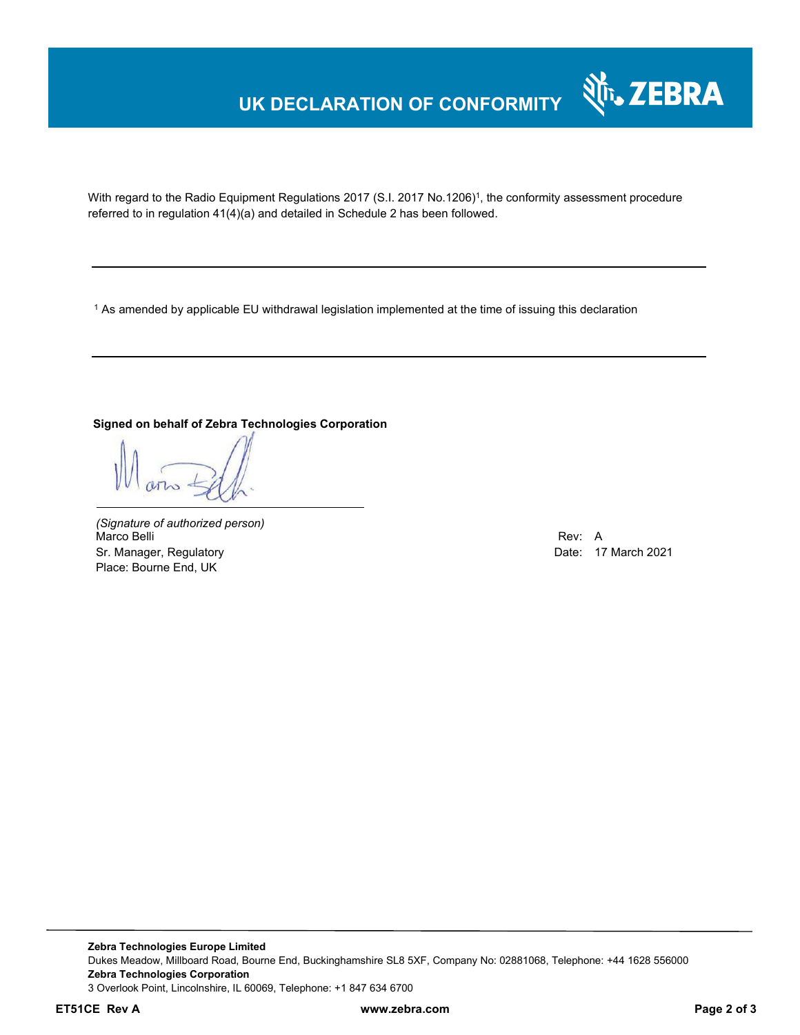# **UK DECLARATION OF CONFORMITY**



With regard to the Radio Equipment Regulations 2017 (S.I. 2017 No.1206)<sup>1</sup>, the conformity assessment procedure referred to in regulation 41(4)(a) and detailed in Schedule 2 has been followed.

 $^{\rm 1}$  As amended by applicable EU withdrawal legislation implemented at the time of issuing this declaration

### **Signed on behalf of Zebra Technologies Corporation**

*(Signature of authorized person)* Marco Belli Rev: A Sr. Manager, Regulatory **Date: 17 March 2021** Place: Bourne End, UK